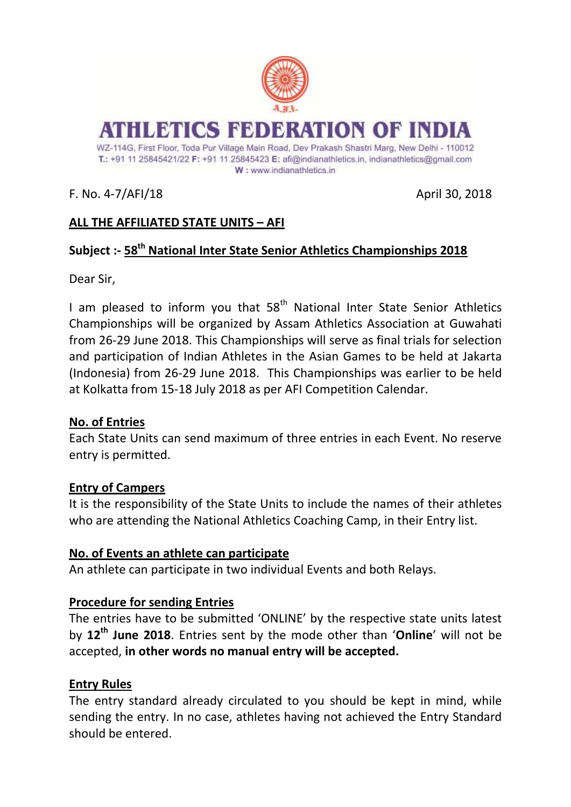

## F. No. 4-7/AFI/18 April 30, 2018

# **ALL THE AFFILIATED STATE UNITS – AFI**

## **Subject :- 58th National Inter State Senior Athletics Championships 2018**

Dear Sir,

I am pleased to inform you that  $58<sup>th</sup>$  National Inter State Senior Athletics Championships will be organized by Assam Athletics Association at Guwahati from 26-29 June 2018. This Championships will serve as final trials for selection and participation of Indian Athletes in the Asian Games to be held at Jakarta (Indonesia) from 26-29 June 2018. This Championships was earlier to be held at Kolkatta from 15-18 July 2018 as per AFI Competition Calendar.

#### **No. of Entries**

Each State Units can send maximum of three entries in each Event. No reserve entry is permitted.

#### **Entry of Campers**

It is the responsibility of the State Units to include the names of their athletes who are attending the National Athletics Coaching Camp, in their Entry list.

### **No. of Events an athlete can participate**

An athlete can participate in two individual Events and both Relays.

### **Procedure for sending Entries**

The entries have to be submitted 'ONLINE' by the respective state units latest by **12th June 2018**. Entries sent by the mode other than '**Online**' will not be accepted, **in other words no manual entry will be accepted.**

### **Entry Rules**

The entry standard already circulated to you should be kept in mind, while sending the entry. In no case, athletes having not achieved the Entry Standard should be entered.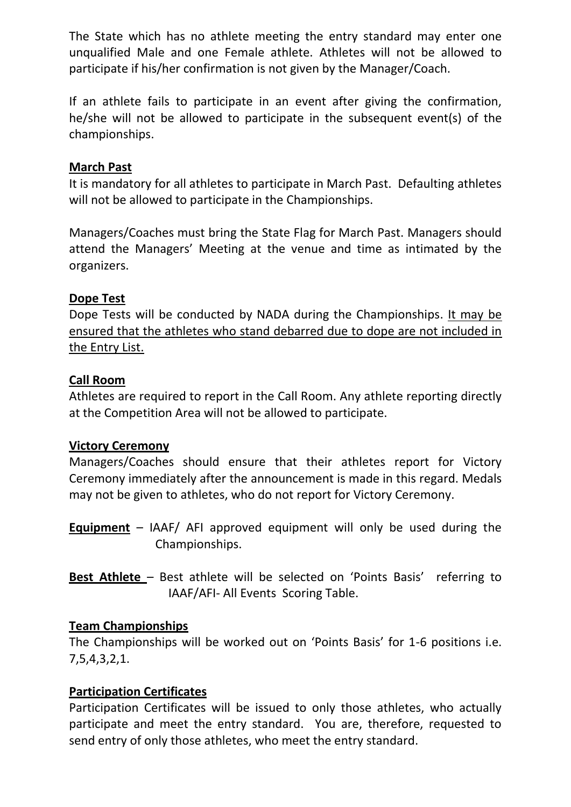The State which has no athlete meeting the entry standard may enter one unqualified Male and one Female athlete. Athletes will not be allowed to participate if his/her confirmation is not given by the Manager/Coach.

If an athlete fails to participate in an event after giving the confirmation, he/she will not be allowed to participate in the subsequent event(s) of the championships.

## **March Past**

It is mandatory for all athletes to participate in March Past. Defaulting athletes will not be allowed to participate in the Championships.

Managers/Coaches must bring the State Flag for March Past. Managers should attend the Managers' Meeting at the venue and time as intimated by the organizers.

### **Dope Test**

Dope Tests will be conducted by NADA during the Championships. It may be ensured that the athletes who stand debarred due to dope are not included in the Entry List.

### **Call Room**

Athletes are required to report in the Call Room. Any athlete reporting directly at the Competition Area will not be allowed to participate.

#### **Victory Ceremony**

Managers/Coaches should ensure that their athletes report for Victory Ceremony immediately after the announcement is made in this regard. Medals may not be given to athletes, who do not report for Victory Ceremony.

- **Equipment** IAAF/ AFI approved equipment will only be used during the Championships.
- **Best Athlete**  Best athlete will be selected on 'Points Basis' referring to IAAF/AFI- All EventsScoring Table.

### **Team Championships**

The Championships will be worked out on 'Points Basis' for 1-6 positions i.e. 7,5,4,3,2,1.

### **Participation Certificates**

Participation Certificates will be issued to only those athletes, who actually participate and meet the entry standard. You are, therefore, requested to send entry of only those athletes, who meet the entry standard.